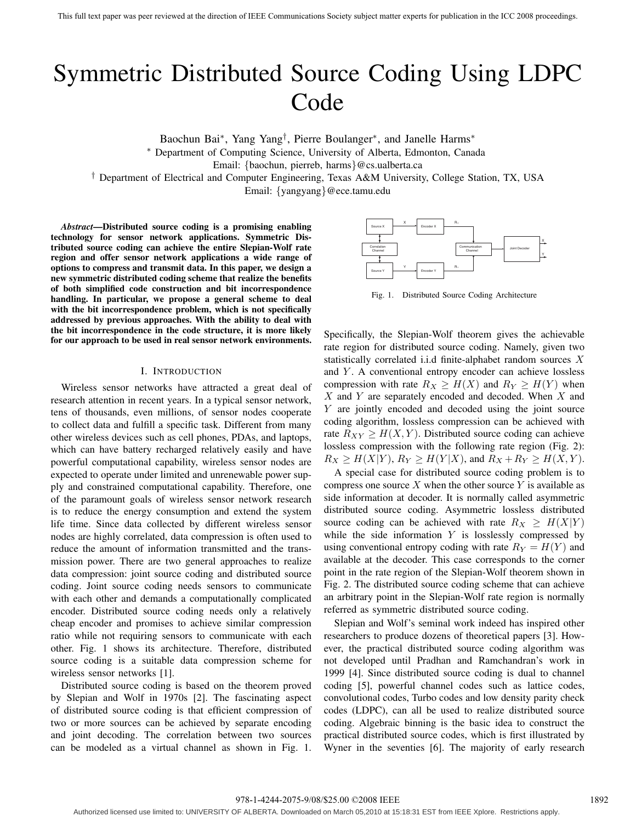# Symmetric Distributed Source Coding Using LDPC Code

Baochun Bai∗, Yang Yang†, Pierre Boulanger∗, and Janelle Harms∗ ∗ Department of Computing Science, University of Alberta, Edmonton, Canada Email: {baochun, pierreb, harms}@cs.ualberta.ca

† Department of Electrical and Computer Engineering, Texas A&M University, College Station, TX, USA

Email: {yangyang}@ece.tamu.edu

*Abstract***—Distributed source coding is a promising enabling technology for sensor network applications. Symmetric Distributed source coding can achieve the entire Slepian-Wolf rate region and offer sensor network applications a wide range of options to compress and transmit data. In this paper, we design a new symmetric distributed coding scheme that realize the benefits of both simplified code construction and bit incorrespondence handling. In particular, we propose a general scheme to deal with the bit incorrespondence problem, which is not specifically addressed by previous approaches. With the ability to deal with the bit incorrespondence in the code structure, it is more likely for our approach to be used in real sensor network environments.**

## I. INTRODUCTION

Wireless sensor networks have attracted a great deal of research attention in recent years. In a typical sensor network, tens of thousands, even millions, of sensor nodes cooperate to collect data and fulfill a specific task. Different from many other wireless devices such as cell phones, PDAs, and laptops, which can have battery recharged relatively easily and have powerful computational capability, wireless sensor nodes are expected to operate under limited and unrenewable power supply and constrained computational capability. Therefore, one of the paramount goals of wireless sensor network research is to reduce the energy consumption and extend the system life time. Since data collected by different wireless sensor nodes are highly correlated, data compression is often used to reduce the amount of information transmitted and the transmission power. There are two general approaches to realize data compression: joint source coding and distributed source coding. Joint source coding needs sensors to communicate with each other and demands a computationally complicated encoder. Distributed source coding needs only a relatively cheap encoder and promises to achieve similar compression ratio while not requiring sensors to communicate with each other. Fig. 1 shows its architecture. Therefore, distributed source coding is a suitable data compression scheme for wireless sensor networks [1].

Distributed source coding is based on the theorem proved by Slepian and Wolf in 1970s [2]. The fascinating aspect of distributed source coding is that efficient compression of two or more sources can be achieved by separate encoding and joint decoding. The correlation between two sources can be modeled as a virtual channel as shown in Fig. 1.



Fig. 1. Distributed Source Coding Architecture

Specifically, the Slepian-Wolf theorem gives the achievable rate region for distributed source coding. Namely, given two statistically correlated i.i.d finite-alphabet random sources X and Y. A conventional entropy encoder can achieve lossless compression with rate  $R_X \geq H(X)$  and  $R_Y \geq H(Y)$  when  $X$  and Y are separately encoded and decoded. When  $X$  and Y are jointly encoded and decoded using the joint source coding algorithm, lossless compression can be achieved with rate  $R_{XY} \geq H(X, Y)$ . Distributed source coding can achieve lossless compression with the following rate region (Fig. 2):  $R_X \ge H(X|Y), R_Y \ge H(Y|X)$ , and  $R_X + R_Y \ge H(X, Y)$ .

A special case for distributed source coding problem is to compress one source  $X$  when the other source  $Y$  is available as side information at decoder. It is normally called asymmetric distributed source coding. Asymmetric lossless distributed source coding can be achieved with rate  $R_X \geq H(X|Y)$ while the side information  $Y$  is losslessly compressed by using conventional entropy coding with rate  $R_Y = H(Y)$  and available at the decoder. This case corresponds to the corner point in the rate region of the Slepian-Wolf theorem shown in Fig. 2. The distributed source coding scheme that can achieve an arbitrary point in the Slepian-Wolf rate region is normally referred as symmetric distributed source coding.

Slepian and Wolf's seminal work indeed has inspired other researchers to produce dozens of theoretical papers [3]. However, the practical distributed source coding algorithm was not developed until Pradhan and Ramchandran's work in 1999 [4]. Since distributed source coding is dual to channel coding [5], powerful channel codes such as lattice codes, convolutional codes, Turbo codes and low density parity check codes (LDPC), can all be used to realize distributed source coding. Algebraic binning is the basic idea to construct the practical distributed source codes, which is first illustrated by Wyner in the seventies [6]. The majority of early research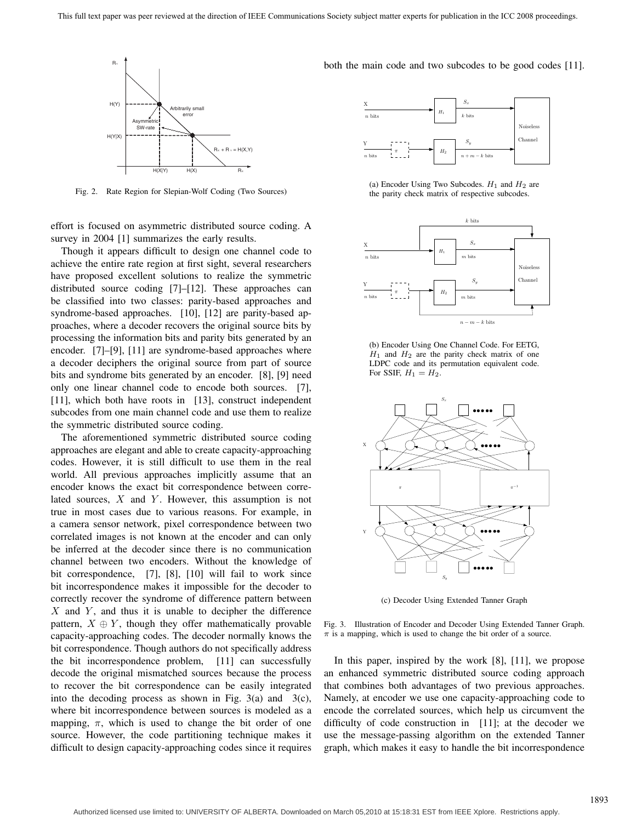

Fig. 2. Rate Region for Slepian-Wolf Coding (Two Sources)

effort is focused on asymmetric distributed source coding. A survey in 2004 [1] summarizes the early results.

Though it appears difficult to design one channel code to achieve the entire rate region at first sight, several researchers have proposed excellent solutions to realize the symmetric distributed source coding [7]–[12]. These approaches can be classified into two classes: parity-based approaches and syndrome-based approaches. [10], [12] are parity-based approaches, where a decoder recovers the original source bits by processing the information bits and parity bits generated by an encoder. [7]–[9], [11] are syndrome-based approaches where a decoder deciphers the original source from part of source bits and syndrome bits generated by an encoder. [8], [9] need only one linear channel code to encode both sources. [7], [11], which both have roots in [13], construct independent subcodes from one main channel code and use them to realize the symmetric distributed source coding.

The aforementioned symmetric distributed source coding approaches are elegant and able to create capacity-approaching codes. However, it is still difficult to use them in the real world. All previous approaches implicitly assume that an encoder knows the exact bit correspondence between correlated sources,  $X$  and  $Y$ . However, this assumption is not true in most cases due to various reasons. For example, in a camera sensor network, pixel correspondence between two correlated images is not known at the encoder and can only be inferred at the decoder since there is no communication channel between two encoders. Without the knowledge of bit correspondence, [7], [8], [10] will fail to work since bit incorrespondence makes it impossible for the decoder to correctly recover the syndrome of difference pattern between  $X$  and  $Y$ , and thus it is unable to decipher the difference pattern,  $X \oplus Y$ , though they offer mathematically provable capacity-approaching codes. The decoder normally knows the bit correspondence. Though authors do not specifically address the bit incorrespondence problem, [11] can successfully decode the original mismatched sources because the process to recover the bit correspondence can be easily integrated into the decoding process as shown in Fig.  $3(a)$  and  $3(c)$ , where bit incorrespondence between sources is modeled as a mapping,  $\pi$ , which is used to change the bit order of one source. However, the code partitioning technique makes it difficult to design capacity-approaching codes since it requires

both the main code and two subcodes to be good codes [11].



(a) Encoder Using Two Subcodes.  $H_1$  and  $H_2$  are the parity check matrix of respective subcodes.



(b) Encoder Using One Channel Code. For EETG,  $H_1$  and  $H_2$  are the parity check matrix of one LDPC code and its permutation equivalent code. For SSIF,  $H_1 = H_2$ .



(c) Decoder Using Extended Tanner Graph

Fig. 3. Illustration of Encoder and Decoder Using Extended Tanner Graph.  $\pi$  is a mapping, which is used to change the bit order of a source.

In this paper, inspired by the work [8], [11], we propose an enhanced symmetric distributed source coding approach that combines both advantages of two previous approaches. Namely, at encoder we use one capacity-approaching code to encode the correlated sources, which help us circumvent the difficulty of code construction in [11]; at the decoder we use the message-passing algorithm on the extended Tanner graph, which makes it easy to handle the bit incorrespondence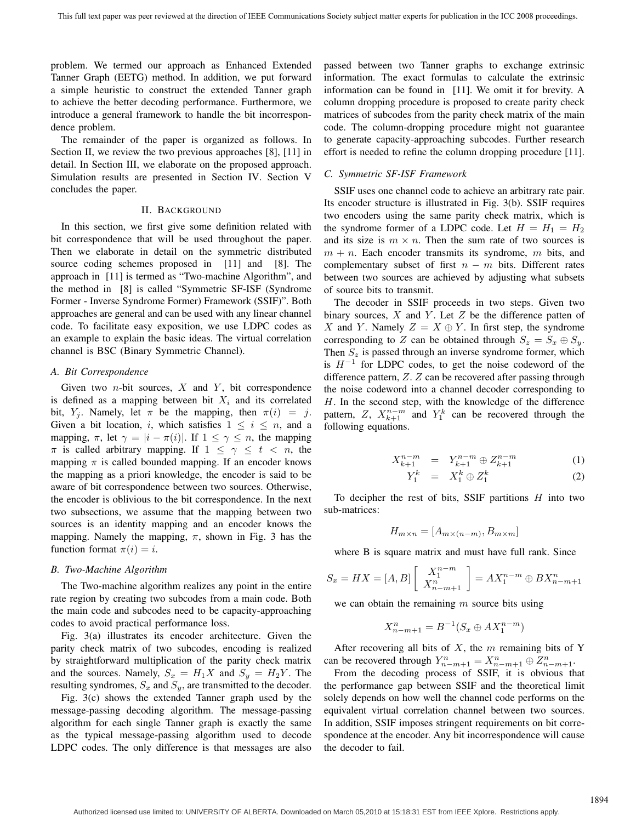problem. We termed our approach as Enhanced Extended Tanner Graph (EETG) method. In addition, we put forward a simple heuristic to construct the extended Tanner graph to achieve the better decoding performance. Furthermore, we introduce a general framework to handle the bit incorrespondence problem.

The remainder of the paper is organized as follows. In Section II, we review the two previous approaches [8], [11] in detail. In Section III, we elaborate on the proposed approach. Simulation results are presented in Section IV. Section V concludes the paper.

# II. BACKGROUND

In this section, we first give some definition related with bit correspondence that will be used throughout the paper. Then we elaborate in detail on the symmetric distributed source coding schemes proposed in [11] and [8]. The approach in [11] is termed as "Two-machine Algorithm", and the method in [8] is called "Symmetric SF-ISF (Syndrome Former - Inverse Syndrome Former) Framework (SSIF)". Both approaches are general and can be used with any linear channel code. To facilitate easy exposition, we use LDPC codes as an example to explain the basic ideas. The virtual correlation channel is BSC (Binary Symmetric Channel).

## *A. Bit Correspondence*

Given two  $n$ -bit sources,  $X$  and  $Y$ , bit correspondence is defined as a mapping between bit  $X_i$  and its correlated bit,  $Y_i$ . Namely, let  $\pi$  be the mapping, then  $\pi(i) = j$ . Given a bit location, i, which satisfies  $1 \leq i \leq n$ , and a mapping,  $\pi$ , let  $\gamma = |i - \pi(i)|$ . If  $1 \leq \gamma \leq n$ , the mapping  $\pi$  is called arbitrary mapping. If  $1 \leq \gamma \leq t < n$ , the mapping  $\pi$  is called bounded mapping. If an encoder knows the mapping as a priori knowledge, the encoder is said to be aware of bit correspondence between two sources. Otherwise, the encoder is oblivious to the bit correspondence. In the next two subsections, we assume that the mapping between two sources is an identity mapping and an encoder knows the mapping. Namely the mapping,  $\pi$ , shown in Fig. 3 has the function format  $\pi(i) = i$ .

# *B. Two-Machine Algorithm*

The Two-machine algorithm realizes any point in the entire rate region by creating two subcodes from a main code. Both the main code and subcodes need to be capacity-approaching codes to avoid practical performance loss.

Fig. 3(a) illustrates its encoder architecture. Given the parity check matrix of two subcodes, encoding is realized by straightforward multiplication of the parity check matrix and the sources. Namely,  $S_x = H_1 X$  and  $S_y = H_2 Y$ . The resulting syndromes,  $S_x$  and  $S_y$ , are transmitted to the decoder.

Fig. 3(c) shows the extended Tanner graph used by the message-passing decoding algorithm. The message-passing algorithm for each single Tanner graph is exactly the same as the typical message-passing algorithm used to decode LDPC codes. The only difference is that messages are also passed between two Tanner graphs to exchange extrinsic information. The exact formulas to calculate the extrinsic information can be found in [11]. We omit it for brevity. A column dropping procedure is proposed to create parity check matrices of subcodes from the parity check matrix of the main code. The column-dropping procedure might not guarantee to generate capacity-approaching subcodes. Further research effort is needed to refine the column dropping procedure [11].

#### *C. Symmetric SF-ISF Framework*

SSIF uses one channel code to achieve an arbitrary rate pair. Its encoder structure is illustrated in Fig. 3(b). SSIF requires two encoders using the same parity check matrix, which is the syndrome former of a LDPC code. Let  $H = H_1 = H_2$ and its size is  $m \times n$ . Then the sum rate of two sources is  $m + n$ . Each encoder transmits its syndrome, m bits, and complementary subset of first  $n - m$  bits. Different rates between two sources are achieved by adjusting what subsets of source bits to transmit.

The decoder in SSIF proceeds in two steps. Given two binary sources,  $X$  and  $Y$ . Let  $Z$  be the difference patten of X and Y. Namely  $Z = X \oplus Y$ . In first step, the syndrome corresponding to Z can be obtained through  $S_z = S_x \oplus S_y$ . Then  $S_z$  is passed through an inverse syndrome former, which is H*<sup>−</sup>*<sup>1</sup> for LDPC codes, to get the noise codeword of the difference pattern, Z. Z can be recovered after passing through the noise codeword into a channel decoder corresponding to H. In the second step, with the knowledge of the difference pattern, Z,  $X_{k+1}^{n-m}$  and  $Y_1^k$  can be recovered through the following equations following equations.

$$
X_{k+1}^{n-m} = Y_{k+1}^{n-m} \oplus Z_{k+1}^{n-m}
$$
 (1)

$$
Y_1^k = X_1^k \oplus Z_1^k \tag{2}
$$

To decipher the rest of bits, SSIF partitions  $H$  into two sub-matrices:

$$
H_{m \times n} = [A_{m \times (n-m)}, B_{m \times m}]
$$

where B is square matrix and must have full rank. Since

$$
S_x = HX = [A, B] \left[ \begin{array}{c} X_1^{n-m} \\ X_{n-m+1}^n \end{array} \right] = AX_1^{n-m} \oplus BX_{n-m+1}^n
$$

we can obtain the remaining  $m$  source bits using

$$
X_{n-m+1}^{n} = B^{-1}(S_x \oplus AX_1^{n-m})
$$

After recovering all bits of  $X$ , the  $m$  remaining bits of Y can be recovered through  $Y_{n-m+1}^n = X_{n-m+1}^n \oplus Z_{n-m+1}^n$ .<br>From the decoding process of SSIE it is obvious the

From the decoding process of SSIF, it is obvious that the performance gap between SSIF and the theoretical limit solely depends on how well the channel code performs on the equivalent virtual correlation channel between two sources. In addition, SSIF imposes stringent requirements on bit correspondence at the encoder. Any bit incorrespondence will cause the decoder to fail.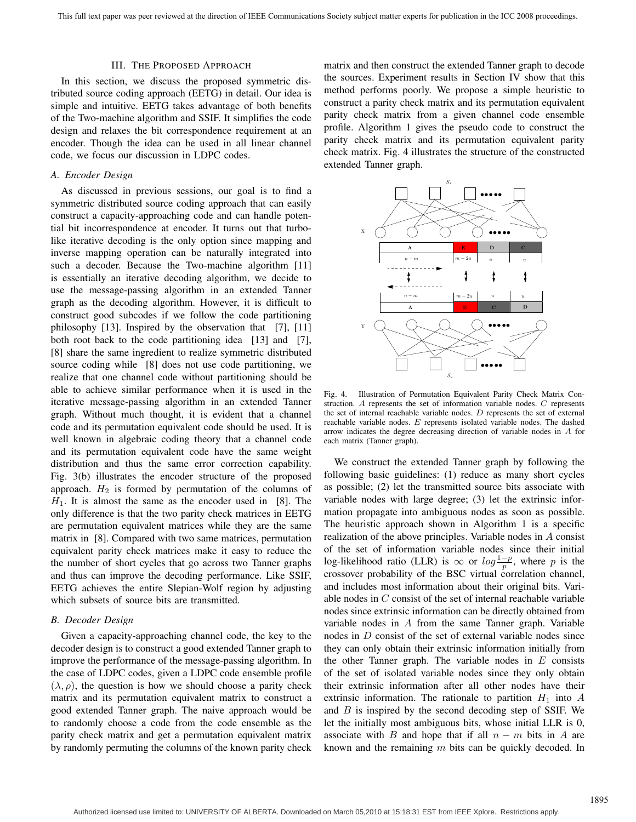#### III. THE PROPOSED APPROACH

In this section, we discuss the proposed symmetric distributed source coding approach (EETG) in detail. Our idea is simple and intuitive. EETG takes advantage of both benefits of the Two-machine algorithm and SSIF. It simplifies the code design and relaxes the bit correspondence requirement at an encoder. Though the idea can be used in all linear channel code, we focus our discussion in LDPC codes.

# *A. Encoder Design*

As discussed in previous sessions, our goal is to find a symmetric distributed source coding approach that can easily construct a capacity-approaching code and can handle potential bit incorrespondence at encoder. It turns out that turbolike iterative decoding is the only option since mapping and inverse mapping operation can be naturally integrated into such a decoder. Because the Two-machine algorithm [11] is essentially an iterative decoding algorithm, we decide to use the message-passing algorithm in an extended Tanner graph as the decoding algorithm. However, it is difficult to construct good subcodes if we follow the code partitioning philosophy [13]. Inspired by the observation that [7], [11] both root back to the code partitioning idea [13] and [7], [8] share the same ingredient to realize symmetric distributed source coding while [8] does not use code partitioning, we realize that one channel code without partitioning should be able to achieve similar performance when it is used in the iterative message-passing algorithm in an extended Tanner graph. Without much thought, it is evident that a channel code and its permutation equivalent code should be used. It is well known in algebraic coding theory that a channel code and its permutation equivalent code have the same weight distribution and thus the same error correction capability. Fig. 3(b) illustrates the encoder structure of the proposed approach.  $H_2$  is formed by permutation of the columns of  $H_1$ . It is almost the same as the encoder used in [8]. The only difference is that the two parity check matrices in EETG are permutation equivalent matrices while they are the same matrix in [8]. Compared with two same matrices, permutation equivalent parity check matrices make it easy to reduce the the number of short cycles that go across two Tanner graphs and thus can improve the decoding performance. Like SSIF, EETG achieves the entire Slepian-Wolf region by adjusting which subsets of source bits are transmitted.

## *B. Decoder Design*

Given a capacity-approaching channel code, the key to the decoder design is to construct a good extended Tanner graph to improve the performance of the message-passing algorithm. In the case of LDPC codes, given a LDPC code ensemble profile  $(\lambda, \rho)$ , the question is how we should choose a parity check matrix and its permutation equivalent matrix to construct a good extended Tanner graph. The naive approach would be to randomly choose a code from the code ensemble as the parity check matrix and get a permutation equivalent matrix by randomly permuting the columns of the known parity check matrix and then construct the extended Tanner graph to decode the sources. Experiment results in Section IV show that this method performs poorly. We propose a simple heuristic to construct a parity check matrix and its permutation equivalent parity check matrix from a given channel code ensemble profile. Algorithm 1 gives the pseudo code to construct the parity check matrix and its permutation equivalent parity check matrix. Fig. 4 illustrates the structure of the constructed extended Tanner graph.



Fig. 4. Illustration of Permutation Equivalent Parity Check Matrix Construction. A represents the set of information variable nodes. C represents the set of internal reachable variable nodes. D represents the set of external reachable variable nodes. E represents isolated variable nodes. The dashed arrow indicates the degree decreasing direction of variable nodes in A for each matrix (Tanner graph).

We construct the extended Tanner graph by following the following basic guidelines: (1) reduce as many short cycles as possible; (2) let the transmitted source bits associate with variable nodes with large degree; (3) let the extrinsic information propagate into ambiguous nodes as soon as possible. The heuristic approach shown in Algorithm 1 is a specific realization of the above principles. Variable nodes in A consist of the set of information variable nodes since their initial log-likelihood ratio (LLR) is  $\infty$  or  $log \frac{1-p}{p}$ , where p is the crossover probability of the BSC virtual correlation channel. crossover probability of the BSC virtual correlation channel, and includes most information about their original bits. Variable nodes in C consist of the set of internal reachable variable nodes since extrinsic information can be directly obtained from variable nodes in A from the same Tanner graph. Variable nodes in D consist of the set of external variable nodes since they can only obtain their extrinsic information initially from the other Tanner graph. The variable nodes in  $E$  consists of the set of isolated variable nodes since they only obtain their extrinsic information after all other nodes have their extrinsic information. The rationale to partition  $H_1$  into A and  $B$  is inspired by the second decoding step of SSIF. We let the initially most ambiguous bits, whose initial LLR is 0, associate with B and hope that if all  $n - m$  bits in A are known and the remaining  $m$  bits can be quickly decoded. In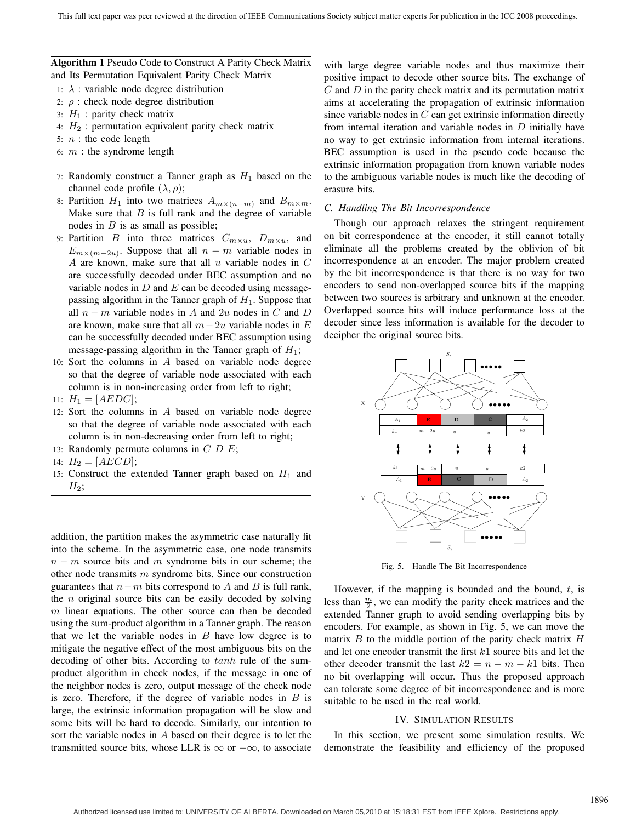**Algorithm 1** Pseudo Code to Construct A Parity Check Matrix and Its Permutation Equivalent Parity Check Matrix

- 1:  $\lambda$  : variable node degree distribution
- 2:  $\rho$  : check node degree distribution
- 3:  $H_1$  : parity check matrix
- 4:  $H_2$ : permutation equivalent parity check matrix
- 5:  $n$  : the code length
- 6:  $m$  : the syndrome length
- 7: Randomly construct a Tanner graph as  $H_1$  based on the channel code profile  $(\lambda, \rho)$ ;
- 8: Partition  $H_1$  into two matrices  $A_{m \times (n-m)}$  and  $B_{m \times m}$ . Make sure that  $B$  is full rank and the degree of variable nodes in  $B$  is as small as possible;
- 9: Partition *B* into three matrices  $C_{m \times u}$ ,  $D_{m \times u}$ , and  $E_{m \times (m-2u)}$ . Suppose that all  $n - m$  variable nodes in A are known, make sure that all  $u$  variable nodes in  $C$ are successfully decoded under BEC assumption and no variable nodes in  $D$  and  $E$  can be decoded using messagepassing algorithm in the Tanner graph of  $H_1$ . Suppose that all  $n - m$  variable nodes in A and 2u nodes in C and D are known, make sure that all  $m-2u$  variable nodes in E can be successfully decoded under BEC assumption using message-passing algorithm in the Tanner graph of  $H_1$ ;
- 10: Sort the columns in A based on variable node degree so that the degree of variable node associated with each column is in non-increasing order from left to right;
- 11:  $H_1 = [AEDC]$ ;
- 12: Sort the columns in A based on variable node degree so that the degree of variable node associated with each column is in non-decreasing order from left to right;
- 13: Randomly permute columns in  $C$   $D$   $E$ ;
- 14:  $H_2 = [AECD];$
- 15: Construct the extended Tanner graph based on  $H_1$  and  $H_2$ ;

addition, the partition makes the asymmetric case naturally fit into the scheme. In the asymmetric case, one node transmits  $n - m$  source bits and m syndrome bits in our scheme; the other node transmits  $m$  syndrome bits. Since our construction guarantees that  $n-m$  bits correspond to A and B is full rank, the  $n$  original source bits can be easily decoded by solving  $m$  linear equations. The other source can then be decoded using the sum-product algorithm in a Tanner graph. The reason that we let the variable nodes in  $B$  have low degree is to mitigate the negative effect of the most ambiguous bits on the decoding of other bits. According to tanh rule of the sumproduct algorithm in check nodes, if the message in one of the neighbor nodes is zero, output message of the check node is zero. Therefore, if the degree of variable nodes in  $B$  is large, the extrinsic information propagation will be slow and some bits will be hard to decode. Similarly, our intention to sort the variable nodes in A based on their degree is to let the transmitted source bits, whose LLR is  $\infty$  or  $-\infty$ , to associate

with large degree variable nodes and thus maximize their positive impact to decode other source bits. The exchange of  $C$  and  $D$  in the parity check matrix and its permutation matrix aims at accelerating the propagation of extrinsic information since variable nodes in  $C$  can get extrinsic information directly from internal iteration and variable nodes in  $D$  initially have no way to get extrinsic information from internal iterations. BEC assumption is used in the pseudo code because the extrinsic information propagation from known variable nodes to the ambiguous variable nodes is much like the decoding of erasure bits.

## *C. Handling The Bit Incorrespondence*

Though our approach relaxes the stringent requirement on bit correspondence at the encoder, it still cannot totally eliminate all the problems created by the oblivion of bit incorrespondence at an encoder. The major problem created by the bit incorrespondence is that there is no way for two encoders to send non-overlapped source bits if the mapping between two sources is arbitrary and unknown at the encoder. Overlapped source bits will induce performance loss at the decoder since less information is available for the decoder to decipher the original source bits.



Fig. 5. Handle The Bit Incorrespondence

However, if the mapping is bounded and the bound,  $t$ , is less than  $\frac{m}{2}$ , we can modify the parity check matrices and the extended Tanner graph to avoid sending overlapping bits by encoders. For example, as shown in Fig. 5, we can move the matrix  $B$  to the middle portion of the parity check matrix  $H$ and let one encoder transmit the first k<sup>1</sup> source bits and let the other decoder transmit the last  $k2 = n - m - k1$  bits. Then no bit overlapping will occur. Thus the proposed approach can tolerate some degree of bit incorrespondence and is more suitable to be used in the real world.

#### IV. SIMULATION RESULTS

In this section, we present some simulation results. We demonstrate the feasibility and efficiency of the proposed